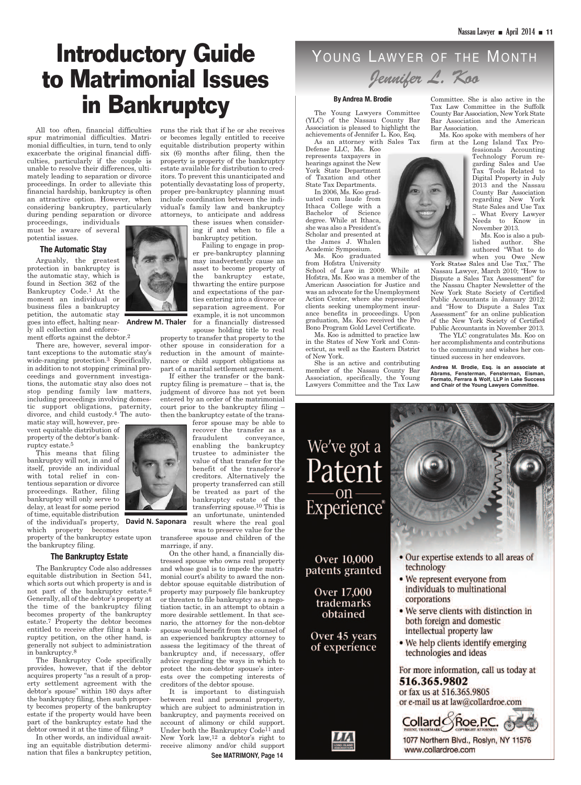# **Introductory Guide to Matrimonial Issues in Bankruptcy**

All too often, financial difficulties spur matrimonial difficulties. Matrimonial difficulties, in turn, tend to only exacerbate the original financial difficulties, particularly if the couple is unable to resolve their differences, ultimately leading to separation or divorce proceedings. In order to alleviate this financial hardship, bankruptcy is often an attractive option. However, when considering bankruptcy, particularly during pending separation or divorce

proceedings, individuals must be aware of several potential issues.

#### **The Automatic Stay**

Arguably, the greatest protection in bankruptcy is the automatic stay, which is found in Section 362 of the Bankruptcy Code.1 At the moment an individual or business files a bankruptcy petition, the automatic stay goes into effect, halting near-**Andrew M. Thaler** ly all collection and enforce-

ment efforts against the debtor.2

There are, however, several important exceptions to the automatic stay's wide-ranging protection.3 Specifically, in addition to not stopping criminal proceedings and government investigations, the automatic stay also does not stop pending family law matters, including proceedings involving domestic support obligations, paternity, divorce, and child custody.4 The auto-

matic stay will, however, prevent equitable distribution of property of the debtor's bankruptcy estate.5

This means that filing bankruptcy will not, in and of itself, provide an individual with total relief in contentious separation or divorce proceedings. Rather, filing bankruptcy will only serve to delay, at least for some period of time, equitable distribution of the individual's property, **David N. Saponara** which property becomes

property of the bankruptcy estate upon transferee spouse and children of the the bankruptcy filing.

#### **The Bankruptcy Estate**

The Bankruptcy Code also addresses equitable distribution in Section 541, which sorts out which property is and is not part of the bankruptcy estate.6 Generally, all of the debtor's property at the time of the bankruptcy filing becomes property of the bankruptcy estate.7 Property the debtor becomes entitled to receive after filing a bankruptcy petition, on the other hand, is generally not subject to administration in bankruptcy.8

The Bankruptcy Code specifically provides, however, that if the debtor acquires property "as a result of a property settlement agreement with the debtor's spouse" within 180 days after the bankruptcy filing, then such property becomes property of the bankruptcy estate if the property would have been part of the bankruptcy estate had the debtor owned it at the time of filing.9

In other words, an individual awaiting an equitable distribution determination that files a bankruptcy petition,

or becomes legally entitled to receive equitable distribution property within six (6) months after filing, then the property is property of the bankruptcy estate available for distribution to creditors. To prevent this unanticipated and potentially devastating loss of property, proper pre-bankruptcy planning must include coordination between the individual's family law and bankruptcy attorneys, to anticipate and address these issues when consider-

runs the risk that if he or she receives

ing if and when to file a bankruptcy petition.

Failing to engage in proper pre-bankruptcy planning may inadvertently cause an asset to become property of the bankruptcy estate, thwarting the entire purpose and expectations of the parties entering into a divorce or separation agreement. For example, it is not uncommon for a financially distressed spouse holding title to real

property to transfer that property to the other spouse in consideration for a reduction in the amount of maintenance or child support obligations as part of a marital settlement agreement.

If either the transfer or the bankruptcy filing is premature – that is, the judgment of divorce has not yet been entered by an order of the matrimonial court prior to the bankruptcy filing – then the bankruptcy estate of the trans-

> enabling the bankruptcy trustee to administer the value of that transfer for the benefit of the transferor's creditors. Alternatively the property transferred can still be treated as part of the bankruptcy estate of the transferring spouse.10 This is an unfortunate, unintended

result where the real goal was to preserve value for the

tressed spouse who owns real property and whose goal is to impede the matrimonial court's ability to award the nondebtor spouse equitable distribution of property may purposely file bankruptcy or threaten to file bankruptcy as a negotiation tactic, in an attempt to obtain a more desirable settlement. In that scenario, the attorney for the non-debtor spouse would benefit from the counsel of an experienced bankruptcy attorney to assess the legitimacy of the threat of bankruptcy and, if necessary, offer advice regarding the ways in which to protect the non-debtor spouse's interests over the competing interests of

It is important to distinguish between real and personal property, which are subject to administration in bankruptcy, and payments received on account of alimony or child support. Under both the Bankruptcy Code<sup>11</sup> and New York law,12 a debtor's right to receive alimony and/or child support **See MATRIMONY, Page 14**

### YOUNG LAWYER OF THE MONTH *Jennifer L. Koo*

#### **By Andrea M. Brodie**

The Young Lawyers Committee (YLC) of the Nassau County Bar Association is pleased to highlight the achievements of Jennifer L. Koo, Esq.

As an attorney with Sales Tax Defense LLC, Ms. Koo represents taxpayers in hearings against the New York State Department of Taxation and other State Tax Departments.

In 2006, Ms. Koo graduated cum laude from Ithaca College with a Bachelor of Science degree. While at Ithaca, she was also a President's Scholar and presented at the James J. Whalen Academic Symposium. Ms. Koo graduated

from Hofstra University

School of Law in 2009. While at Hofstra, Ms. Koo was a member of the American Association for Justice and was an advocate for the Unemployment Action Center, where she represented clients seeking unemployment insurance benefits in proceedings. Upon graduation, Ms. Koo received the Pro Bono Program Gold Level Certificate.

Ms. Koo is admitted to practice law in the States of New York and Connecticut, as well as the Eastern District of New York.

She is an active and contributing member of the Nassau County Bar Association, specifically, the Young Lawyers Committee and the Tax Law

Committee. She is also active in the Tax Law Committee in the Suffolk County Bar Association, New York State Bar Association and the American Bar Association.

Ms. Koo spoke with members of her firm at the Long Island Tax Pro-

fessionals Accounting Technology Forum regarding Sales and Use Tax Tools Related to Digital Property in July 2013 and the Nassau County Bar Association regarding New York State Sales and Use Tax – What Every Lawyer Needs to Know in November 2013.

Ms. Koo is also a published author. She authored "What to do when you Owe New

York States Sales and Use Tax," The Nassau Lawyer, March 2010; "How to Dispute a Sales Tax Assessment" for the Nassau Chapter Newsletter of the New York State Society of Certified Public Accountants in January 2012; and "How to Dispute a Sales Tax Assessment" for an online publication of the New York Society of Certified Public Accountants in November 2013.

The YLC congratulates Ms. Koo on her accomplishments and contributions to the community and wishes her continued success in her endeavors.

**Andrea M. Brodie, Esq. is an associate at Abrams, Fensterman, Fensterman, Eisman, Formato, Ferrara & Wolf, LLP in Lake Success and Chair of the Young Lawyers Committee.**





marriage, if any.

On the other hand, a financially discreditors of the debtor spouse.

feror spouse may be able to recover the transfer as a fraudulent conveyance,